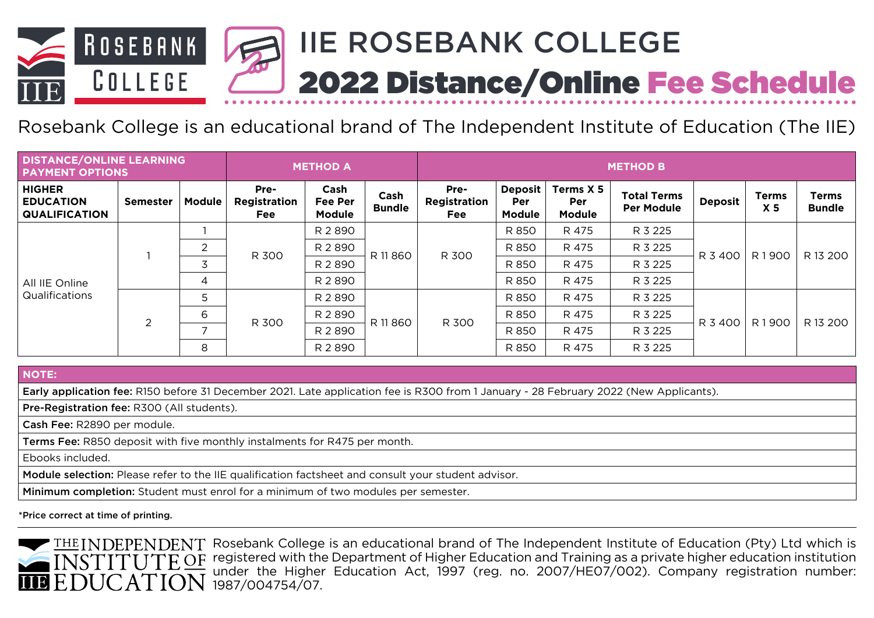

# Rosebank College is an educational brand of The Independent Institute of Education (The IIE)

| DISTANCE/ONLINE LEARNING<br><b>PAYMENT OPTIONS</b>        |                 |                          | <b>METHOD A</b>                    |                                         |                       | <b>METHOD B</b>                    |                                               |                                          |                                         |                |                                |                               |
|-----------------------------------------------------------|-----------------|--------------------------|------------------------------------|-----------------------------------------|-----------------------|------------------------------------|-----------------------------------------------|------------------------------------------|-----------------------------------------|----------------|--------------------------------|-------------------------------|
| <b>HIGHER</b><br><b>EDUCATION</b><br><b>QUALIFICATION</b> | <b>Semester</b> | <b>Module</b>            | Pre-<br>Registration<br><b>Fee</b> | Cash<br><b>Fee Per</b><br><b>Module</b> | Cash<br><b>Bundle</b> | Pre-<br>Registration<br><b>Fee</b> | <b>Deposit</b><br><b>Per</b><br><b>Module</b> | Terms X 5<br><b>Per</b><br><b>Module</b> | <b>Total Terms</b><br><b>Per Module</b> | <b>Deposit</b> | <b>Terms</b><br>X <sub>5</sub> | <b>Terms</b><br><b>Bundle</b> |
| All IIE Online<br><b>Qualifications</b>                   |                 |                          | R 300                              | R 2890                                  | R 11860               | R 300                              | R 850                                         | R 475                                    | R 3 225                                 | R 3 400        | R1900                          | R 13 200                      |
|                                                           |                 | 2                        |                                    | R 2890                                  |                       |                                    | R 850                                         | R 475                                    | R 3 225                                 |                |                                |                               |
|                                                           |                 | $\overline{3}$           |                                    | R 2890                                  |                       |                                    | R 850                                         | R 475                                    | R 3 225                                 |                |                                |                               |
|                                                           |                 | 4                        |                                    | R 2890                                  |                       |                                    | R 850                                         | R 475                                    | R 3 225                                 |                |                                |                               |
|                                                           | $\mathcal{P}$   | 5                        | R 300                              | R 2890                                  | R 11860               | R 300                              | R 850                                         | R 475                                    | R 3 225                                 | R 3 400        | R1900                          | R 13 200                      |
|                                                           |                 | 6                        |                                    | R 2 8 9 0                               |                       |                                    | R 850                                         | R 475                                    | R 3 225                                 |                |                                |                               |
|                                                           |                 | $\overline{\phantom{a}}$ |                                    | R 2890                                  |                       |                                    | R 850                                         | R 475                                    | R 3 225                                 |                |                                |                               |
|                                                           |                 | 8                        |                                    | R 2 8 9 0                               |                       |                                    | R 850                                         | R 475                                    | R 3 225                                 |                |                                |                               |

**NOTE:**

Early application fee: R150 before 31 December 2021. Late application fee is R300 from 1 January - 28 February 2022 (New Applicants).

Pre-Registration fee: R300 (All students).

Cash Fee: R2890 per module.

Terms Fee: R850 deposit with five monthly instalments for R475 per month.

Ebooks included.

Module selection: Please refer to the IIE qualification factsheet and consult your student advisor.

Minimum completion: Student must enrol for a minimum of two modules per semester.

\*Price correct at time of printing.

THE INDEPENDENT Rosebank College is an educational brand of The Independent Institute of Education (Pty) Ltd which is  $\overline{OR}$  registered with the Department of Higher Education and Training as a private higher education institution under the Higher Education Act, 1997 (reg. no. 2007/HE07/002). Company registration number: 1987/004754/07.